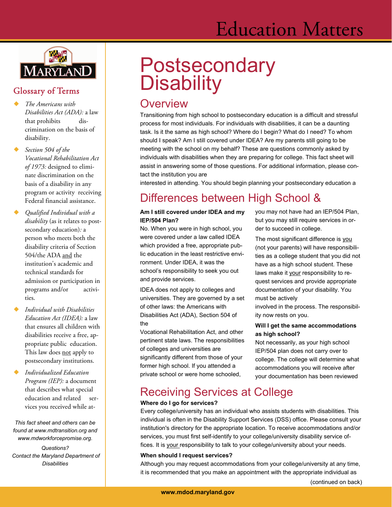# Education Matters



### Glossary of Terms

- *The Americans with Disabilities Act (ADA):* a law that prohibits discrimination on the basis of disability.
- *Section 504 of the Vocational Rehabilitation Act of 1973:* designed to eliminate discrimination on the basis of a disability in any program or activity receiving Federal financial assistance.
- *Qualified Individual with a disability* (as it relates to postsecondary education)*:* a person who meets both the disability criteria of Section 504/the ADA and the institution's academic and technical standards for admission or participation in programs and/or activities.
- *Individual with Disabilities Education Act (IDEA):* a law that ensures all children with disabilities receive a free, appropriate public education. This law does not apply to postsecondary institutions.
- *Individualized Education Program (IEP):* a document that describes what special education and related services you received while at-

*This fact sheet and others can be found at www.mdtransition.org and www.mdworkforcepromise.org.* 

*Questions? Contact the Maryland Department of Disabilities* 

# **Postsecondary Disability**

### **Overview**

Transitioning from high school to postsecondary education is a difficult and stressful process for most individuals. For individuals with disabilities, it can be a daunting task. Is it the same as high school? Where do I begin? What do I need? To whom should I speak? Am I still covered under IDEA? Are my parents still going to be meeting with the school on my behalf? These are questions commonly asked by individuals with disabilities when they are preparing for college. This fact sheet will assist in answering some of those questions. For additional information, please contact the institution you are

interested in attending. You should begin planning your postsecondary education a

# Differences between High School &

### **Am I still covered under IDEA and my IEP/504 Plan?**

No. When you were in high school, you were covered under a law called IDEA which provided a free, appropriate public education in the least restrictive environment. Under IDEA, it was the school's responsibility to seek you out and provide services.

IDEA does not apply to colleges and universities. They are governed by a set of other laws: the Americans with Disabilities Act (ADA), Section 504 of the

Vocational Rehabilitation Act, and other pertinent state laws. The responsibilities of colleges and universities are significantly different from those of your former high school. If you attended a private school or were home schooled,

you may not have had an IEP/504 Plan, but you may still require services in order to succeed in college.

The most significant difference is you (not your parents) will have responsibilities as a college student that you did not have as a high school student. These laws make it your responsibility to request services and provide appropriate documentation of your disability. You must be actively

involved in the process. The responsibility now rests on you.

### **Will I get the same accommodations as high school?**

Not necessarily, as your high school IEP/504 plan does not carry over to college. The college will determine what accommodations you will receive after your documentation has been reviewed

## Receiving Services at College

### **Where do I go for services?**

Every college/university has an individual who assists students with disabilities. This individual is often in the Disability Support Services (DSS) office. Please consult your institution's directory for the appropriate location. To receive accommodations and/or services, you must first self-identify to your college/university disability service offices. It is your responsibility to talk to your college/university about your needs.

### **When should I request services?**

Although you may request accommodations from your college/university at any time, it is recommended that you make an appointment with the appropriate individual as